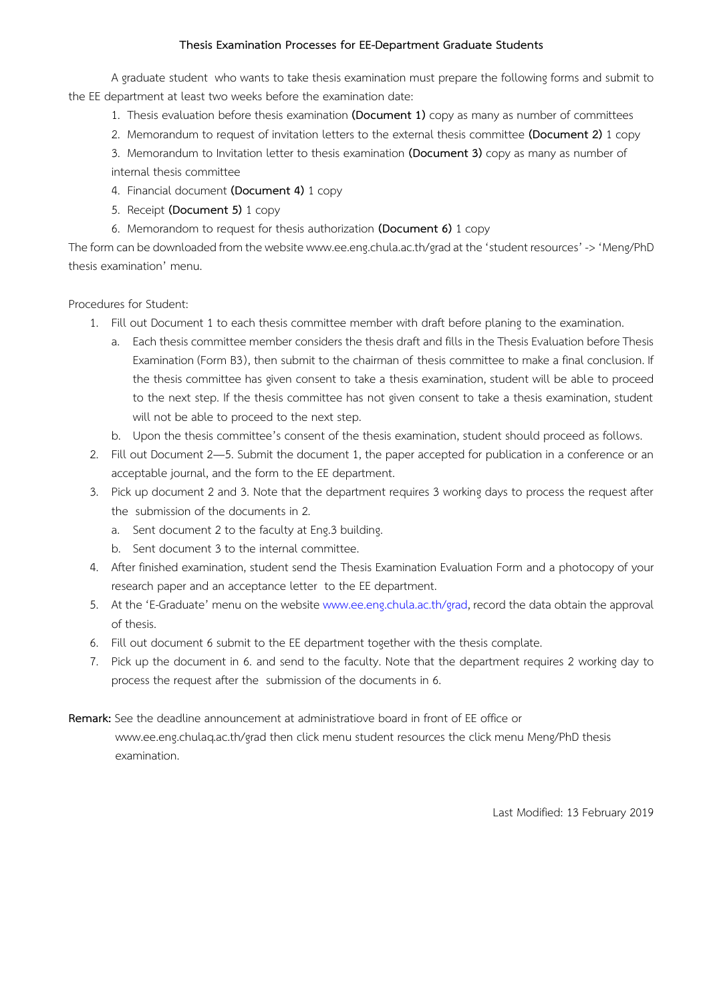#### **Thesis Examination Processes for EE-Department Graduate Students**

A graduate student who wants to take thesis examination must prepare the following forms and submit to the EE department at least two weeks before the examination date:

- 1. Thesis evaluation before thesis examination **(Document 1)** copy as many as number of committees
- 2. Memorandum to request of invitation letters to the external thesis committee **(Document 2)** 1 copy

3. Memorandum to Invitation letter to thesis examination **(Document 3)** copy as many as number of internal thesis committee

- 4. Financial document **(Document 4)** 1 copy
- 5. Receipt **(Document 5)** 1 copy
- 6. Memorandom to request for thesis authorization **(Document 6)** 1 copy

The form can be downloaded from the website www.ee.eng.chula.ac.th/grad at the 'student resources' -> 'Meng/PhD thesis examination' menu.

#### Procedures for Student:

- 1. Fill out Document 1 to each thesis committee member with draft before planing to the examination.
	- a. Each thesis committee member considers the thesis draft and fills in the Thesis Evaluation before Thesis Examination (Form B3), then submit to the chairman of thesis committee to make a final conclusion. If the thesis committee has given consent to take a thesis examination, student will be able to proceed to the next step. If the thesis committee has not given consent to take a thesis examination, student will not be able to proceed to the next step.
	- b. Upon the thesis committee's consent of the thesis examination, student should proceed as follows.
- 2. Fill out Document 2—5. Submit the document 1, the paper accepted for publication in a conference or an acceptable journal, and the form to the EE department.
- 3. Pick up document 2 and 3. Note that the department requires 3 working days to process the request after the submission of the documents in 2.
	- a. Sent document 2 to the faculty at Eng.3 building.
	- b. Sent document 3 to the internal committee.
- 4. After finished examination, student send the Thesis Examination Evaluation Form and a photocopy of your research paper and an acceptance letter to the EE department.
- 5. At the 'E-Graduate' menu on the website www.ee.eng.chula.ac.th/grad, record the data obtain the approval of thesis.
- 6. Fill out document 6 submit to the EE department together with the thesis complate.
- 7. Pick up the document in 6. and send to the faculty. Note that the department requires 2 working day to process the request after the submission of the documents in 6.

#### **Remark:** See the deadline announcement at administratiove board in front of EE office or

 www.ee.eng.chulaq.ac.th/grad then click menu student resources the click menu Meng/PhD thesis examination.

Last Modified: 13 February 2019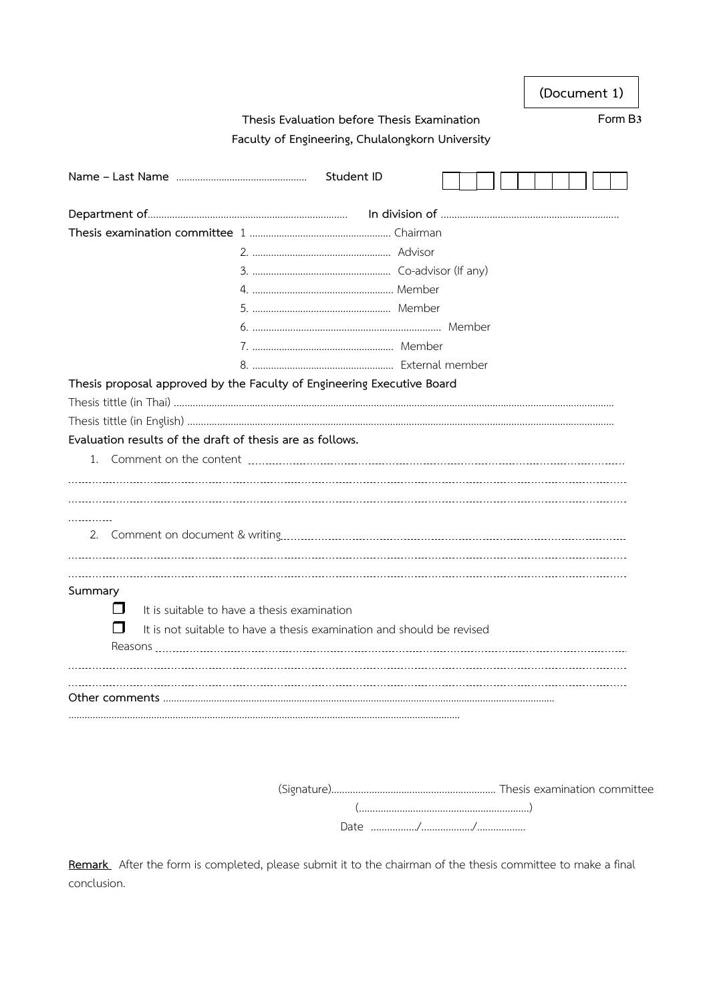| (Document 1) |  |
|--------------|--|
|--------------|--|

### **Thesis Evaluation before Thesis Examination Form B3 Faculty of Engineering, Chulalongkorn University**

| Thesis proposal approved by the Faculty of Engineering Executive Board     |                                             |  |  |  |  |  |  |  |
|----------------------------------------------------------------------------|---------------------------------------------|--|--|--|--|--|--|--|
|                                                                            |                                             |  |  |  |  |  |  |  |
|                                                                            |                                             |  |  |  |  |  |  |  |
| Evaluation results of the draft of thesis are as follows.                  |                                             |  |  |  |  |  |  |  |
|                                                                            |                                             |  |  |  |  |  |  |  |
|                                                                            |                                             |  |  |  |  |  |  |  |
|                                                                            |                                             |  |  |  |  |  |  |  |
|                                                                            |                                             |  |  |  |  |  |  |  |
|                                                                            |                                             |  |  |  |  |  |  |  |
|                                                                            |                                             |  |  |  |  |  |  |  |
|                                                                            |                                             |  |  |  |  |  |  |  |
|                                                                            |                                             |  |  |  |  |  |  |  |
| Summary<br>l I                                                             |                                             |  |  |  |  |  |  |  |
|                                                                            | It is suitable to have a thesis examination |  |  |  |  |  |  |  |
| П<br>It is not suitable to have a thesis examination and should be revised |                                             |  |  |  |  |  |  |  |
|                                                                            |                                             |  |  |  |  |  |  |  |
|                                                                            |                                             |  |  |  |  |  |  |  |
|                                                                            |                                             |  |  |  |  |  |  |  |
|                                                                            |                                             |  |  |  |  |  |  |  |
|                                                                            |                                             |  |  |  |  |  |  |  |

**Remark** After the form is completed, please submit it to the chairman of the thesis committee to make a final conclusion.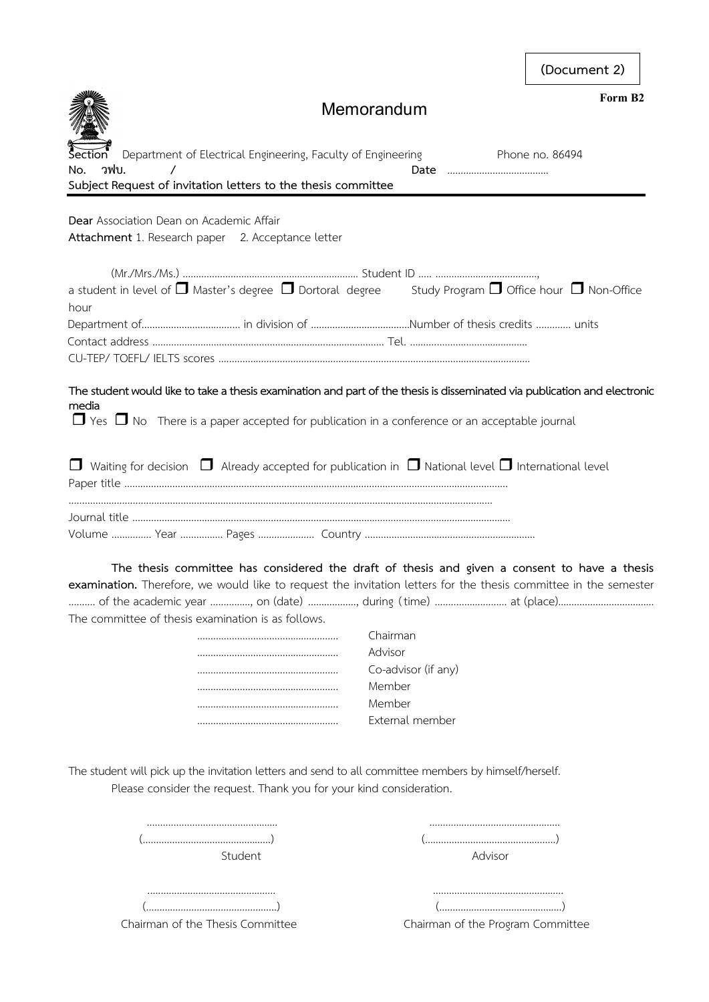**(Document 2)**



# **Memorandum**

**Form B2**

| Department of Electrical Engineering, Faculty of Engineering<br>วฟบ.<br>No.                                               | Phone no. 86494                                                     |
|---------------------------------------------------------------------------------------------------------------------------|---------------------------------------------------------------------|
| Subject Request of invitation letters to the thesis committee                                                             |                                                                     |
|                                                                                                                           |                                                                     |
| Dear Association Dean on Academic Affair                                                                                  |                                                                     |
| Attachment 1. Research paper 2. Acceptance letter                                                                         |                                                                     |
|                                                                                                                           |                                                                     |
|                                                                                                                           |                                                                     |
| a student in level of $\Box$ Master's degree $\Box$ Dortoral degree Study Program $\Box$ Office hour $\Box$ Non-Office    |                                                                     |
| hour                                                                                                                      |                                                                     |
|                                                                                                                           |                                                                     |
|                                                                                                                           |                                                                     |
|                                                                                                                           |                                                                     |
| The student would like to take a thesis examination and part of the thesis is disseminated via publication and electronic |                                                                     |
| media                                                                                                                     |                                                                     |
| $\Box$ Yes $\Box$ No There is a paper accepted for publication in a conference or an acceptable journal                   |                                                                     |
|                                                                                                                           |                                                                     |
| $\Box$ Waiting for decision $\Box$ Already accepted for publication in $\Box$ National level $\Box$ International level   |                                                                     |
|                                                                                                                           |                                                                     |
|                                                                                                                           |                                                                     |
|                                                                                                                           |                                                                     |
|                                                                                                                           |                                                                     |
| The thesis committee has considered the draft of thesis and given a consent to have a thesis                              |                                                                     |
| examination. Therefore, we would like to request the invitation letters for the thesis committee in the semester          |                                                                     |
|                                                                                                                           |                                                                     |
| The committee of thesis examination is as follows.                                                                        |                                                                     |
| Chairman                                                                                                                  |                                                                     |
| Advisor                                                                                                                   |                                                                     |
|                                                                                                                           | Co-advisor (if any)                                                 |
| Member                                                                                                                    |                                                                     |
| Member                                                                                                                    |                                                                     |
|                                                                                                                           | External member                                                     |
|                                                                                                                           |                                                                     |
| The student will pick up the invitation letters and send to all committee members by himself/herself.                     |                                                                     |
| Please consider the request. Thank you for your kind consideration.                                                       |                                                                     |
|                                                                                                                           |                                                                     |
|                                                                                                                           |                                                                     |
|                                                                                                                           |                                                                     |
| Student                                                                                                                   | Advisor                                                             |
|                                                                                                                           |                                                                     |
|                                                                                                                           |                                                                     |
|                                                                                                                           | $(\ldots,\ldots,\ldots,\ldots,\ldots,\ldots,\ldots,\ldots,\ldots))$ |
| Chairman of the Thesis Committee                                                                                          | Chairman of the Program Committee                                   |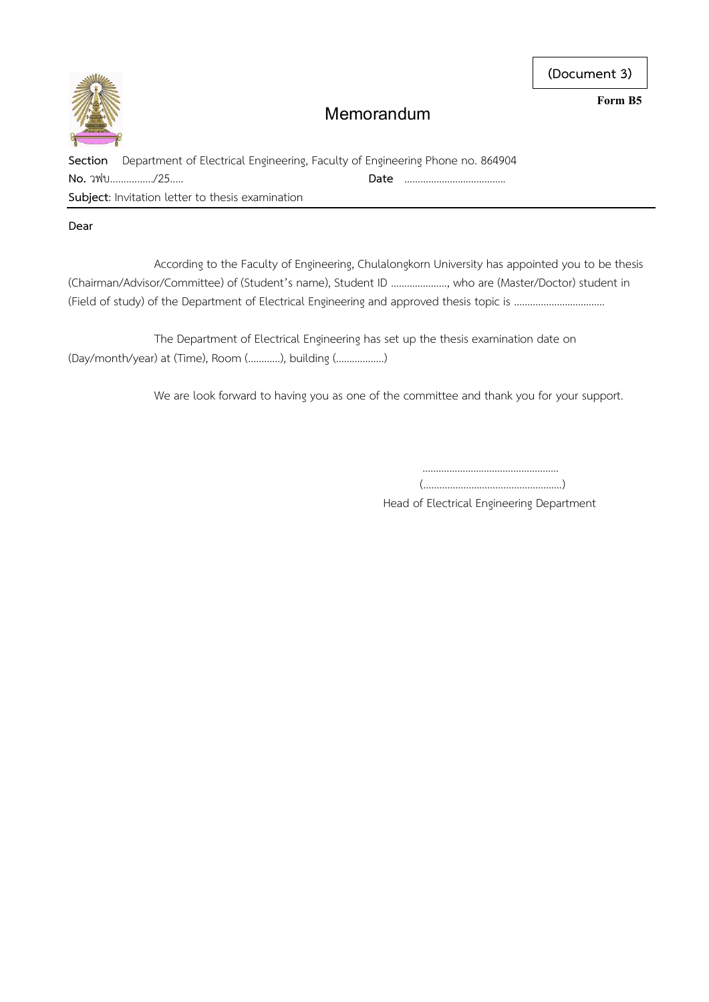## **Memorandum**

| . |  |  |  |  |
|---|--|--|--|--|
|   |  |  |  |  |
|   |  |  |  |  |
|   |  |  |  |  |
|   |  |  |  |  |
|   |  |  |  |  |
|   |  |  |  |  |
|   |  |  |  |  |
|   |  |  |  |  |
|   |  |  |  |  |
|   |  |  |  |  |

| Section Department of Electrical Engineering, Faculty of Engineering Phone no. 864904 |  |      |  |  |  |  |
|---------------------------------------------------------------------------------------|--|------|--|--|--|--|
| No. วฟบ/25                                                                            |  | Date |  |  |  |  |
| <b>Subject:</b> Invitation letter to thesis examination                               |  |      |  |  |  |  |

### **Dear**

According to the Faculty of Engineering, Chulalongkorn University has appointed you to be thesis (Chairman/Advisor/Committee) of (Student's name), Student ID …………………, who are (Master/Doctor) student in (Field of study) of the Department of Electrical Engineering and approved thesis topic is …………………………….

The Department of Electrical Engineering has set up the thesis examination date on (Day/month/year) at (Time), Room (…………), building (………………)

We are look forward to having you as one of the committee and thank you for your support.

 .……………………………….….……... (…………………………………………….)

Head of Electrical Engineering Department

**(Document 3)**

**Form B5**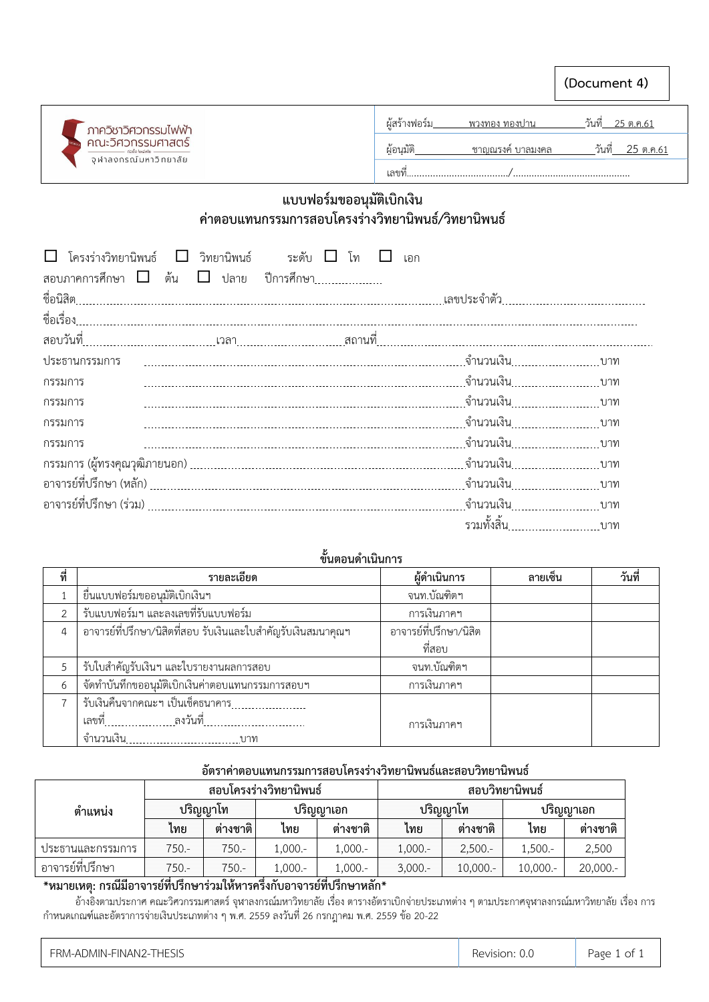

เลขที่....................................../……………………………………..

## **แบบฟอร์มขออนุมัติเบิกเงิน ค่าตอบแทนกรรมการสอบโครงร่างวิทยานิพนธ์/วิทยานิพนธ์**

| $\Box$ โครงร่างวิทยานิพนธ์ $\Box$<br>วิทยานิพนธ์ ระดับ $\Box$<br>โท<br>เอก |                            |  |
|----------------------------------------------------------------------------|----------------------------|--|
| สอบภาคการศึกษา $\Box$ ต้น $\Box$ ปลาย ปีการศึกษา                           |                            |  |
|                                                                            |                            |  |
|                                                                            |                            |  |
|                                                                            |                            |  |
| ประธานกรรมการ                                                              |                            |  |
| กรรมการ                                                                    |                            |  |
| กรรมการ                                                                    |                            |  |
| กรรมการ                                                                    |                            |  |
| กรรมการ                                                                    |                            |  |
|                                                                            |                            |  |
|                                                                            |                            |  |
|                                                                            |                            |  |
|                                                                            | รวมทั้งสิ้น <sub>บาท</sub> |  |

## ขั้นตอนดำเนินการ

| ที่ | รายละเอียด                                                     | ผู้ดำเนินการ           | ลายเซ็น | วันที่ |
|-----|----------------------------------------------------------------|------------------------|---------|--------|
|     | ยื่นแบบฟอร์มขออนุมัติเบิกเงินฯ                                 | จนท.บัณฑิตฯ            |         |        |
|     | รับแบบฟอร์มฯ และลงเลขที่รับแบบฟอร์ม                            | การเงินภาคฯ            |         |        |
| 4   | ้อาจารย์ที่ปรึกษา/นิสิตที่สอบ รับเงินและใบสำคัญรับเงินสมนาคุณฯ | อาจารย์ที่ปรึกษา/นิสิต |         |        |
|     |                                                                | ที่สอบ                 |         |        |
|     | รับใบสำคัญรับเงินฯ และใบรายงานผลการสอบ                         | จนท.บัณฑิตฯ            |         |        |
| 6   | จัดทำบันทึกขออนุมัติเบิกเงินค่าตอบแทนกรรมการสอบฯ               | การเงินภาคฯ            |         |        |
|     | รับเงินคืนจากคณะฯ เป็นเช็คธนาคาร                               |                        |         |        |
|     |                                                                | การเงินภาคฯ            |         |        |
|     |                                                                |                        |         |        |

### **อัตราค่าตอบแทนกรรมการสอบโครงร่างวิทยานิพนธ์และสอบวิทยานิพนธ์**

|                   |       |          | สอบโครงร่างวิทยานิพนธ์ |            | สอบวิทยานิพนธ์ |            |             |           |  |
|-------------------|-------|----------|------------------------|------------|----------------|------------|-------------|-----------|--|
| ี ตำแหน่ <b>ง</b> |       | ปริญญาโท | ปริญญาเอก              |            |                | ปริญญาโท   |             | ปริญญาเอก |  |
|                   | เทย   | ต่างชาติ | ไทย                    | ต่างชาติ   | เทย            | ต่างชาติ   | โทย         | ต่างชาติ  |  |
| ประธานและกรรมการ  | 750.- | 750.-    | $.000 -$               | $1,000. -$ | $1,000. -$     | $2,500. -$ | $1,500. -$  | 2,500     |  |
| อาจารย์ที่ปรึกษา  | 750.- | 750.-    | $.000 -$               | 1,000.-    | $3,000 -$      | $10,000 -$ | $10,000. -$ | 20,000 .- |  |

### **\*หมายเหตุ: กรณีมีอาจารย์ที่ปรึกษาร่วมให้หารครึ่งกับอาจารย์ที่ปรึกษาหลัก\***

 อ้างอิงตามประกาศ คณะวิศวกรรมศาสตร์ จุฬาลงกรณ์มหาวิทยาลัย เรื่อง ตารางอัตราเบิกจ่ายประเภทต่าง ๆ ตามประกาศจุฬาลงกรณ์มหาวิทยาลัย เรื่อง การ ก าหนดเกณฑ์และอัตราการจ่ายเงินประเภทต่าง ๆ พ.ศ. 2559 ลงวันที่ 26 กรกฎาคม พ.ศ. 2559 ข้อ 20-22

| FRM-ADMIN-FINAN2-THESIS | Revision: 0.0 | Page 1 of 1 |
|-------------------------|---------------|-------------|
|-------------------------|---------------|-------------|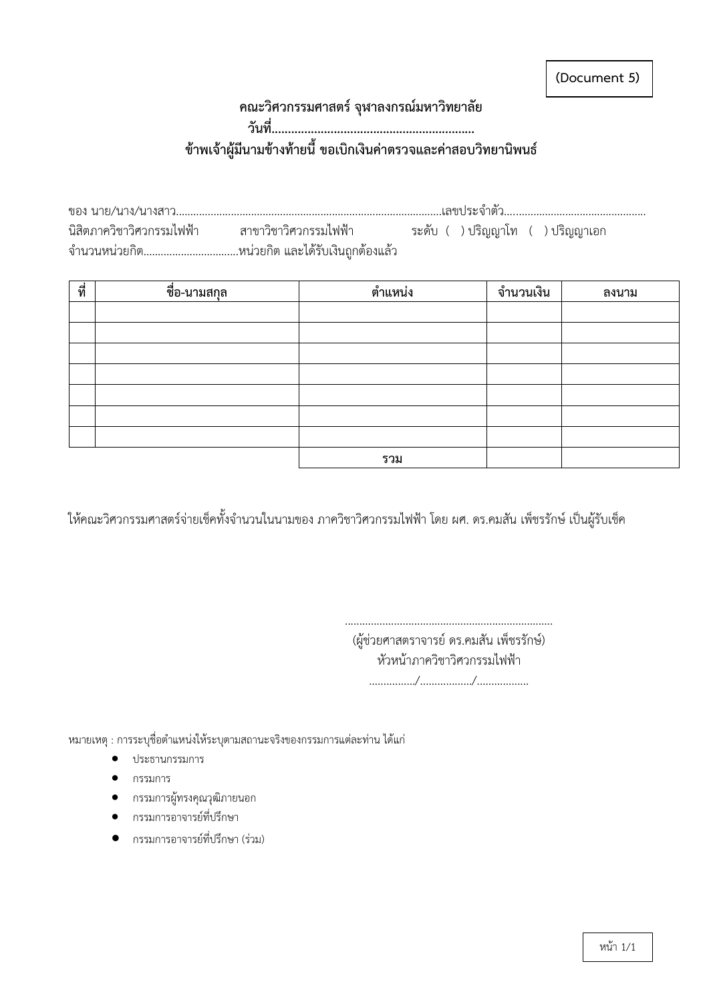**(Document 5)**

# **คณะวิศวกรรมศาสตร์ จุฬาลงกรณ์มหาวิทยาลัย วันที่.............................................................. ข้าพเจ้าผู้มีนามข้างท้ายนี้ ขอเบิกเงินค่าตรวจและค่าสอบวิทยานิพนธ์**

|  | นิสิตภาควิชาวิศวกรรมไฟฟ้า สาขาวิชาวิศวกรรมไฟฟ้า | ระดับ ( )ปริญญาโท ( )ปริญญาเอก |  |  |  |
|--|-------------------------------------------------|--------------------------------|--|--|--|
|  | จำนวนหน่วยกิตหน่วยกิต และได้รับเงินถูกต้องแล้ว  |                                |  |  |  |

| ที่ | ชื่อ-นามสกุล | ตำแหน่ง | จำนวนเงิน | ลงนาม |
|-----|--------------|---------|-----------|-------|
|     |              |         |           |       |
|     |              |         |           |       |
|     |              |         |           |       |
|     |              |         |           |       |
|     |              |         |           |       |
|     |              |         |           |       |
|     |              |         |           |       |
|     |              | รวม     |           |       |

ให้คณะวิศวกรรมศาสตร์จ่ายเช็คทั้งจำนวนในนามของ ภาควิชาวิศวกรรมไฟฟ้า โดย ผศ. ดร.คมสัน เพ็ชรรักษ์ เป็นผู้รับเช็ค

(ผู้ช่วยศาสตราจารย์ ดร.คมสัน เพ็ชรรักษ์) หัวหน้าภาควิชาวิศวกรรมไฟฟ้า ................/................../..................

........................................................................

หมายเหตุ : การระบุชื่อตำแหน่งให้ระบุตามสถานะจริงของกรรมการแต่ละท่าน ได้แก่

- ประธานกรรมการ
- กรรมการ
- กรรมการผู้ทรงคุณวุฒิภายนอก
- กรรมการอาจารย์ที่ปรึกษา
- กรรมการอาจารย์ที่ปรึกษา (ร่วม)